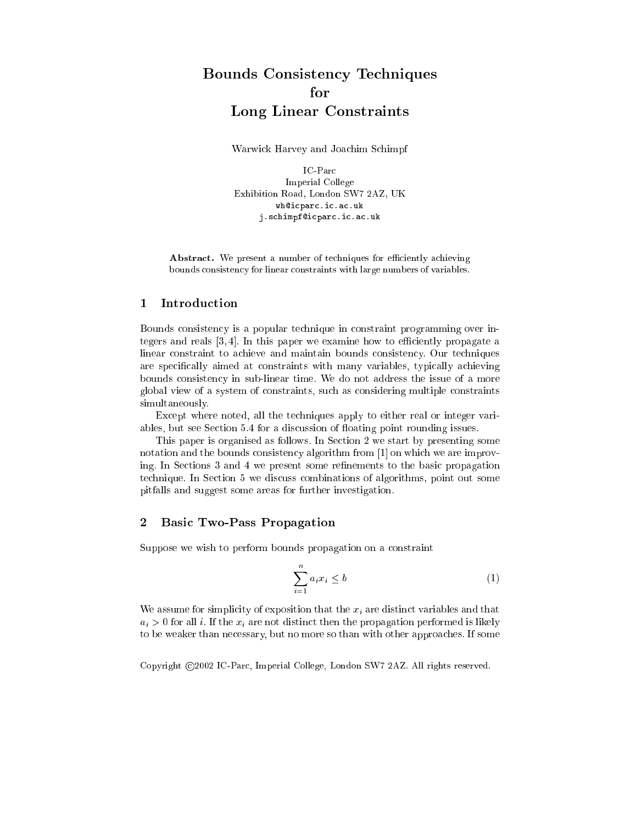# Bounds Consisten
y Te
hniques for Long Linear Constraints

Warwi
k Harvey and Joa
him S
himpf

IC-Parc Imperial College Exhibition Road, London SW7 2AZ, UK wh@icparc.ic.ac.uk j.schimpf@icparc.ic.ac.uk

Abstract. We present a number of techniques for efficiently achieving bounds onsisten
y for linear onstraints with large numbers of variables.

## 1 Introduction

Bounds onsisten
y is a popular te
hnique in onstraint programming over integers and reals  $[3, 4]$ . In this paper we examine how to efficiently propagate a linear constraint to achieve and maintain bounds consistency. Our techniques are specifically aimed at constraints with many variables, typically achieving bounds onsisten
y in sub-linear time. We do not address the issue of a more global view of a system of onstraints, su
h as onsidering multiple onstraints simultaneously.

Except where noted, all the techniques apply to either real or integer variables, but see Section 5.4 for a discussion of floating point rounding issues.

This paper is organised as follows. In Section 2 we start by presenting some notation and the bounds consistency algorithm from  $[1]$  on which we are improving. In Sections 3 and 4 we present some refinements to the basic propagation te
hnique. In Se
tion 5 we dis
uss ombinations of algorithms, point out some pitfalls and suggest some areas for further investigation.

### $\overline{2}$ Basi Two-Pass Propagation

Suppose we wish to perform bounds propagation on a constraint

$$
\sum_{i=1}^{n} a_i x_i \le b \tag{1}
$$

We assume for simplicity of exposition that the  $x_i$  are distinct variables and that  $a_i > 0$  for all i. If the  $x_i$  are not distinct then the propagation performed is likely to be weaker than necessary, but no more so than with other approaches. If some

Copyright 2002 IC-Par
, Imperial College, London SW7 2AZ. All rights reserved.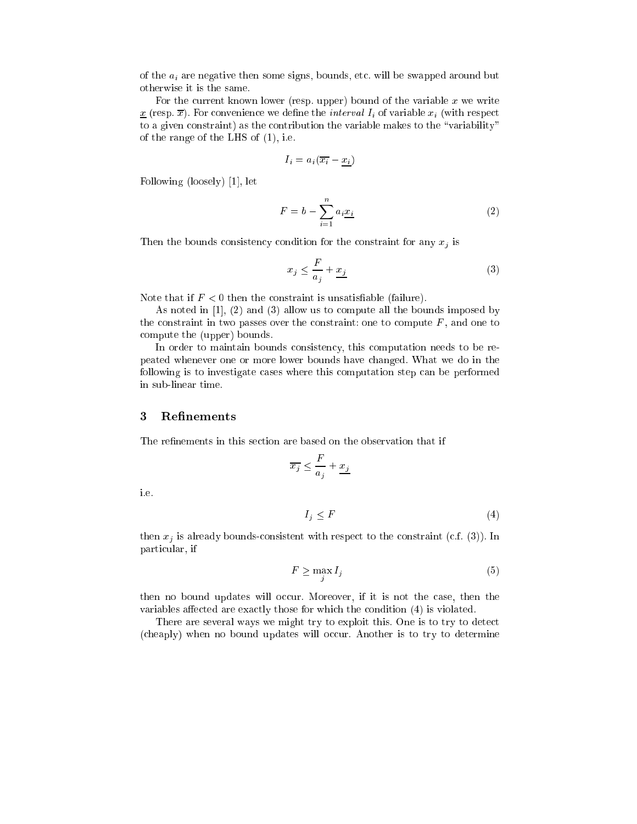of the  $a_i$  are negative then some signs, bounds, etc. will be swapped around but otherwise it is the same.

For the current known lower (resp. upper) bound of the variable  $x$  we write  $\underline{x}$  (resp.  $\overline{x}$ ). For convenience we define the *interval*  $I_i$  of variable  $x_i$  (with respect to a given constraint) as the contribution the variable makes to the "variability" of the range of the LHS of (1), i.e.

$$
I_i = a_i(\overline{x_i} - \underline{x_i})
$$

Following (loosely)  $[1]$ , let

$$
F = b - \sum_{i=1}^{n} a_i \underline{x_i} \tag{2}
$$

Then the bounds consistency condition for the constraint for any  $x_j$  is

$$
x_j \le \frac{F}{a_j} + \frac{x_j}{a_j} \tag{3}
$$

Note that if  $F < 0$  then the constraint is unsatisfiable (failure).

As noted in  $[1]$ ,  $(2)$  and  $(3)$  allow us to compute all the bounds imposed by the constraint in two passes over the constraint: one to compute  $F$ , and one to ompute the (upper) bounds.

In order to maintain bounds consistency, this computation needs to be repeated whenever one or more lower bounds have hanged. What we do in the following is to investigate ases where this omputation step an be performed in sub-linear time.

### 3**Refinements**

The refinements in this section are based on the observation that if

$$
\overline{x_j} \leq \frac{F}{a_j} + \underline{x_j}
$$

i.e.

$$
I_j \le F \tag{4}
$$

then  $x_j$  is already bounds-consistent with respect to the constraint (c.f. (3)). In parti
ular, if

$$
F \ge \max_{j} I_j \tag{5}
$$

then no bound updates will occur. Moreover, if it is not the case, then the variables affected are exactly those for which the condition (4) is violated.

There are several ways we might try to exploit this. One is to try to detect (cheaply) when no bound updates will occur. Another is to try to determine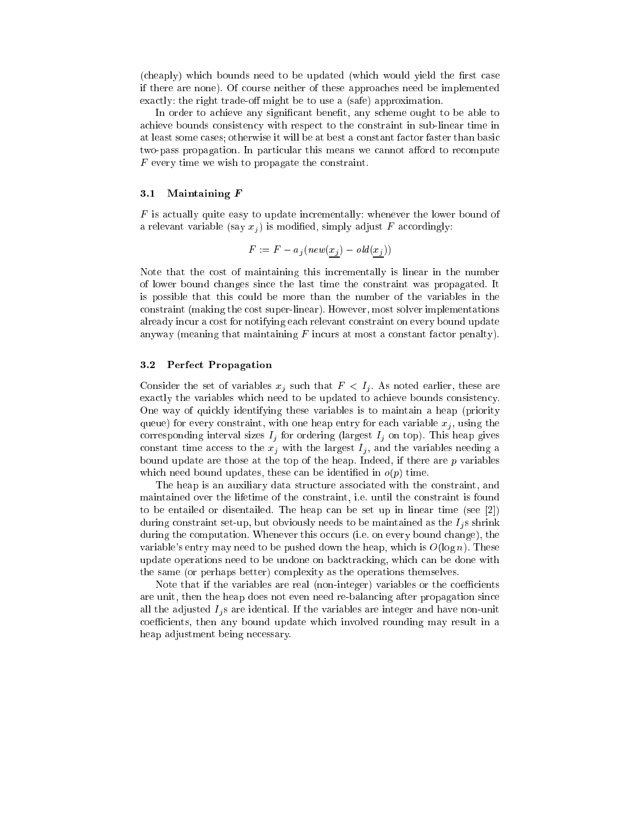(cheaply) which bounds need to be updated (which would yield the first case if there are none). Of ourse neither of these approa
hes need be implemented exactly: the right trade-off might be to use a (safe) approximation.

In order to achieve any significant benefit, any scheme ought to be able to a
hieve bounds onsisten
y with respe
t to the onstraint in sub-linear time in at least some ases; otherwise it will be at best a onstant fa
tor faster than basi two-pass propagation. In particular this means we cannot afford to recompute  $F$  every time we wish to propagate the constraint.

### 3.1Maintaining <sup>F</sup>

<sup>F</sup> is a
tually quite easy to update in
rementally: whenever the lower bound of a relevant variable (say  $x_i$ ) is modified, simply adjust F accordingly:

$$
F := F - a_j \left( new(x_j) - old(x_j) \right)
$$

Note that the ost of maintaining this in
rementally is linear in the number of lower bound hanges sin
e the last time the onstraint was propagated. It is possible that this ould be more than the number of the variables in the onstraint (making the ost super-linear). However, most solver implementations already in
ur a ost for notifying ea
h relevant onstraint on every bound update anyway (meaning that maintaining  $F$  incurs at most a constant factor penalty).

### 3.2Perfe
t Propagation

Consider the set of variables  $x_j$  such that  $F < I_j$ . As noted earlier, these are exactly the variables which need to be updated to achieve bounds consistency. One way of qui
kly identifying these variables is to maintain a heap (priority queue) for every constraint, with one heap entry for each variable  $x_i$ , using the corresponding interval sizes  $I_j$  for ordering (largest  $I_j$  on top). This heap gives constant time access to the  $x_j$  with the largest  $I_j$ , and the variables needing a bound update are those at the top of the heap. Indeed, if there are  $p$  variables which need bound updates, these can be identified in  $o(p)$  time.

The heap is an auxiliary data structure associated with the constraint, and maintained over the lifetime of the onstraint, i.e. until the onstraint is found to be entailed or disentailed. The heap can be set up in linear time (see  $[2]$ ) during constraint set-up, but obviously needs to be maintained as the  $I_i$ s shrink during the computation. Whenever this occurs (i.e. on every bound change), the variable's entry may need to be pushed down the heap, which is  $O(\log n)$ . These update operations need to be undone on ba
ktra
king, whi
h an be done with the same (or perhaps better) omplexity as the operations themselves.

Note that if the variables are real (non-integer) variables or the coefficients are unit, then the heap does not even need re-balan
ing after propagation sin
e all the adjusted  $I_i$ s are identical. If the variables are integer and have non-unit coefficients, then any bound update which involved rounding may result in a heap adjustment being ne
essary.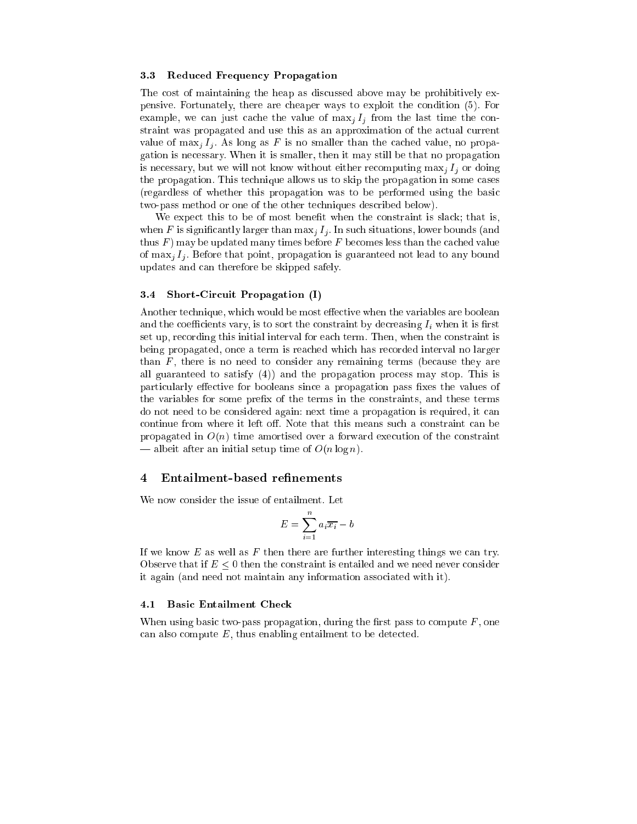#### 3.3Redu
ed Frequen
y Propagation

The cost of maintaining the heap as discussed above may be prohibitively expensive. Fortunately, there are heaper ways to exploit the ondition (5). For example, we can just cache the value of  $\max_j I_j$  from the last time the constraint was propagated and use this as an approximation of the actual current value of  $\max_j I_j$ . As long as F is no smaller than the cached value, no propagation is ne
essary. When it is smaller, then it may still be that no propagation is necessary, but we will not know without either recomputing  $\max_i I_i$  or doing the propagation. This technique allows us to skip the propagation in some cases (regardless of whether this propagation was to be performed using the basi two-pass method or one of the other te
hniques des
ribed below).

We expect this to be of most benefit when the constraint is slack; that is, when F is significantly larger than  $\max_i I_i$ . In such situations, lower bounds (and thus  $F$ ) may be updated many times before  $F$  becomes less than the cached value of  $\max_i I_i$ . Before that point, propagation is guaranteed not lead to any bound updates and an therefore be skipped safely.

### 3.4Short-Circuit Propagation (I)

Another technique, which would be most effective when the variables are boolean and the coefficients vary, is to sort the constraint by decreasing  $I_i$  when it is first set up, re
ording this initial interval for ea
h term. Then, when the onstraint is being propagated, on
e a term is rea
hed whi
h has re
orded interval no larger than  $F$ , there is no need to consider any remaining terms (because they are all guaranteed to satisfy (4)) and the propagation pro
ess may stop. This is particularly effective for booleans since a propagation pass fixes the values of the variables for some prefix of the terms in the constraints, and these terms do not need to be considered again: next time a propagation is required, it can continue from where it left off. Note that this means such a constraint can be propagated in  $O(n)$  time amortised over a forward execution of the constraint — albeit after an initial setup time of  $O(n \log n)$ .

### 4Entailment-based refinements

We now consider the issue of entailment. Let

$$
E = \sum_{i=1}^{n} a_i \overline{x_i} - b
$$

If we know  $E$  as well as  $F$  then there are further interesting things we can try. Observe that if  $E \leq 0$  then the constraint is entailed and we need never consider it again (and need not maintain any information asso
iated with it).

### **Basic Entailment Check**  $4.1$

When using basic two-pass propagation, during the first pass to compute  $F$ , one can also compute  $E$ , thus enabling entailment to be detected.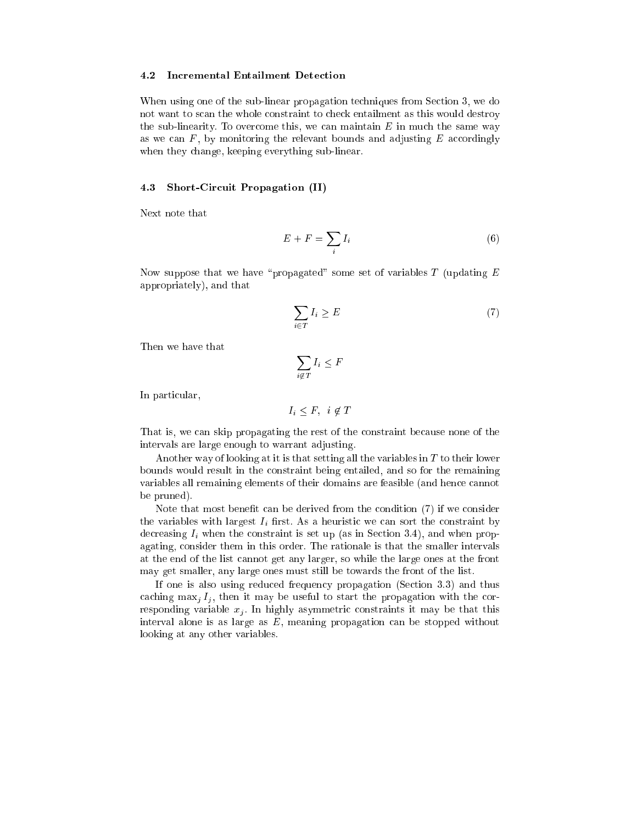### 4.2 Incremental Entailment Detection

When using one of the sub-linear propagation techniques from Section 3, we do not want to s
an the whole onstraint to he
k entailment as this would destroy the sub-linearity. To overcome this, we can maintain  $E$  in much the same way as we can  $F$ , by monitoring the relevant bounds and adjusting  $E$  accordingly when they change, keeping everything sub-linear.

### 4.3Short-Circuit Propagation (II)

$$
E + F = \sum_{i} I_i \tag{6}
$$

Now suppose that we have "propagated" some set of variables  $T$  (updating  $E$ appropriately), and that

$$
\sum_{i \in T} I_i \ge E \tag{7}
$$

$$
\sum_{i \notin T} I_i \leq F
$$

In particular,

$$
I_i \leq F, \quad i \notin T
$$

That is, we can skip propagating the rest of the constraint because none of the intervals are large enough to warrant adjusting.

Another way of looking at it is that setting all the variables in <sup>T</sup> to their lower bounds would result in the onstraint being entailed, and so for the remaining variables all remaining elements of their domains are feasible (and hence cannot be pruned).

Note that most benefit can be derived from the condition (7) if we consider the variables with largest  $I_i$  first. As a heuristic we can sort the constraint by decreasing  $I_i$  when the constraint is set up (as in Section 3.4), and when propagating, onsider them in this order. The rationale is that the smaller intervals at the end of the list annot get any larger, so while the large ones at the front may get smaller, any large ones must still be towards the front of the list.

If one is also using redu
ed frequen
y propagation (Se
tion 3.3) and thus caching  $\max_i I_i$ , then it may be useful to start the propagation with the corresponding variable  $x_i$ . In highly asymmetric constraints it may be that this interval alone is as large as  $E$ , meaning propagation can be stopped without looking at any other variables.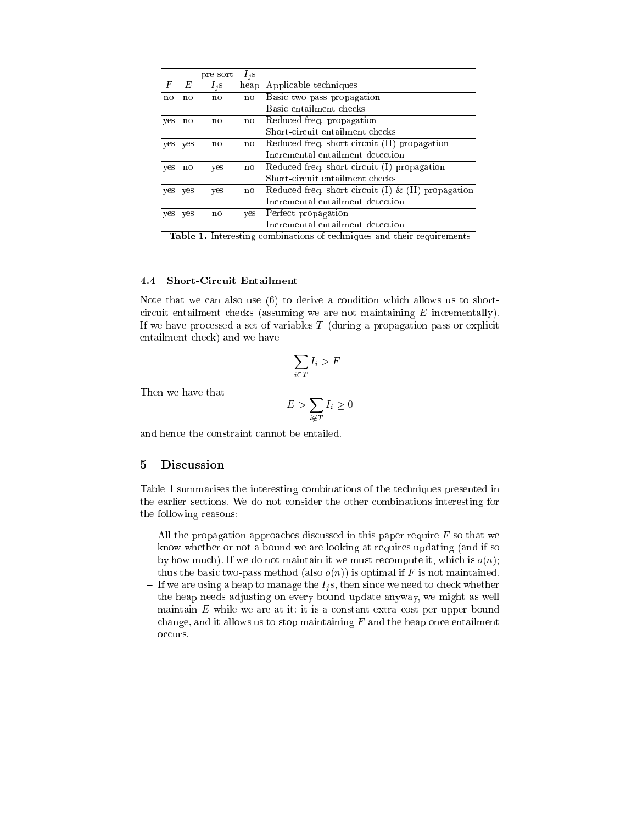|     |         | pre-sort | $I_i$ s |                                                       |
|-----|---------|----------|---------|-------------------------------------------------------|
| F   | Е       | $I_i$ s  | heap    | Applicable techniques                                 |
| no  | no      | no.      | no      | Basic two-pass propagation                            |
|     |         |          |         | Basic entailment checks                               |
| yes | no      | no       | no      | Reduced freq. propagation                             |
|     |         |          |         | Short-circuit entailment checks                       |
|     | yes yes | no       | no      | Reduced freq. short-circuit (II) propagation          |
|     |         |          |         | Incremental entailment detection                      |
| yes | no      | yes      | no.     | Reduced freq. short-circuit (I) propagation           |
|     |         |          |         | Short-circuit entailment checks                       |
|     | yes yes | yes      | no      | Reduced freq. short-circuit (I) $\&$ (II) propagation |
|     |         |          |         | Incremental entailment detection                      |
|     | yes yes | no       | yes     | Perfect propagation                                   |
|     |         |          |         | Incremental entailment detection                      |

Table 1. Interesting ombinations of te
hniques and their requirements

### 4.4Short-Cir
uit Entailment

Note that we can also use  $(6)$  to derive a condition which allows us to shortcircuit entailment checks (assuming we are not maintaining  $E$  incrementally). If we have processed a set of variables  $T$  (during a propagation pass or explicit entailment he
k) and we have

$$
\sum_{i \in T} I_i > F
$$

Then we have that

$$
E > \sum_{i \notin T} I_i \ge 0
$$

and hen
e the onstraint annot be entailed.

### 5**Discussion**

Table 1 summarises the interesting ombinations of the te
hniques presented in the earlier se
tions. We do not onsider the other ombinations interesting for the following reasons:

- { All the propagation approa
hes dis
ussed in this paper require <sup>F</sup> so that we know whether or not a bound we are looking at requires updating (and if so by how much). If we do not maintain it we must recompute it, which is  $o(n)$ ; thus the basic two-pass method (also  $o(n)$ ) is optimal if F is not maintained.
- e we are using a heap to manage the Ig s, then since the Heap to manage the Indian since  $\alpha$ the heap needs adjusting on every bound update anyway, we might as well maintain  $E$  while we are at it: it is a constant extra cost per upper bound change, and it allows us to stop maintaining  $F$  and the heap once entailment occurs.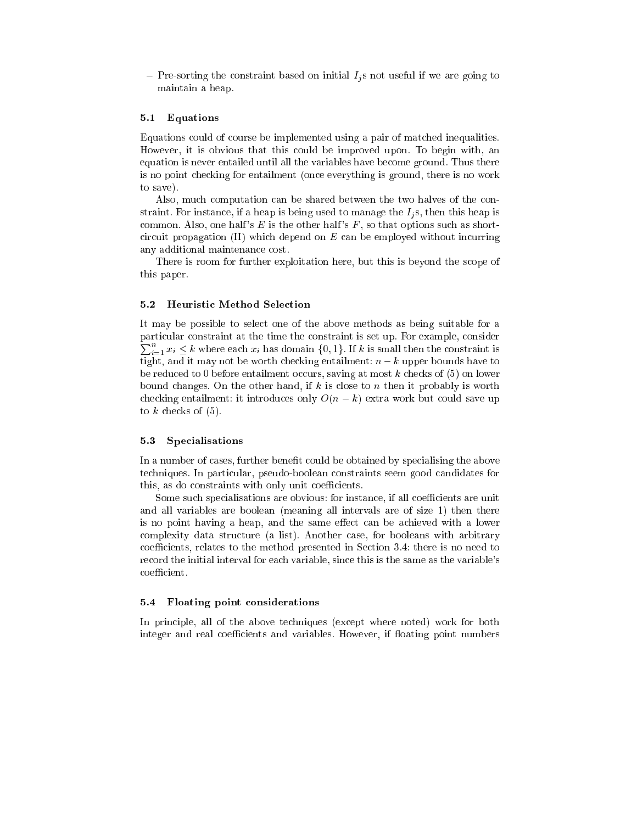onstraint based on initial Islamic compact on initial Initial Islamic useful if we are going to maintain a heap.

### 5.1Equations

Equations ould of ourse be implemented using a pair of mat
hed inequalities. However, it is obvious that this ould be improved upon. To begin with, an equation is never entailed until all the variables have be
ome ground. Thus there is no point he
king for entailment (on
e everything is ground, there is no work to save).

Also, much computation can be shared between the two halves of the constraint. For instance, if a heap is being used to manage the  $I_i$ s, then this heap is common. Also, one half's  $E$  is the other half's  $F$ , so that options such as shortcircuit propagation  $(II)$  which depend on  $E$  can be employed without incurring any additional maintenan
e ost.

There is room for further exploitation here, but this is beyond the scope of this paper.

### 5.2Heuristi Method Sele
tion

It may be possible to select one of the above methods as being suitable for a  $\sum_{i=1}^{n} x_i \leq k$  where each  $x_i$  has domain  $\{0,1\}$ . If k is small then the constraint is parti
ular onstraint at the time the onstraint is set up. For example, onsider tight, and it may not be worth checking entailment:  $n - k$  upper bounds have to be reduced to 0 before entailment occurs, saving at most k checks of  $(5)$  on lower bound changes. On the other hand, if k is close to n then it probably is worth checking entailment: it introduces only  $O(n-k)$  extra work but could save up to  $k$  checks of  $(5)$ .

### 5.3Spe
ialisations

In a number of cases, further benefit could be obtained by specialising the above techniques. In particular, pseudo-boolean constraints seem good candidates for this, as do constraints with only unit coefficients.

Some such specialisations are obvious: for instance, if all coefficients are unit and all variables are boolean (meaning all intervals are of size 1) then there is no point having a heap, and the same effect can be achieved with a lower omplexity data stru
ture (a list). Another ase, for booleans with arbitrary coefficients, relates to the method presented in Section 3.4: there is no need to re
ord the initial interval for ea
h variable, sin
e this is the same as the variable's coefficient.

### 5.4Floating point onsiderations

In principle, all of the above techniques (except where noted) work for both integer and real coefficients and variables. However, if floating point numbers